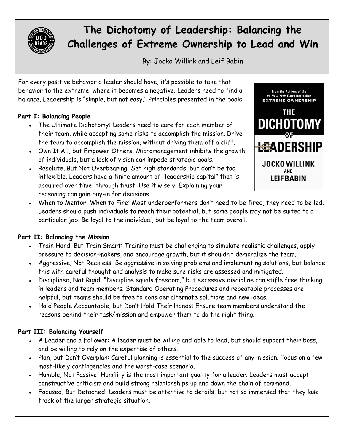

# **The Dichotomy of Leadership: Balancing the Challenges of Extreme Ownership to Lead and Win**

By: Jocko Willink and Leif Babin

For every positive behavior a leader should have, it's possible to take that behavior to the extreme, where it becomes a negative. Leaders need to find a balance. Leadership is "simple, but not easy." Principles presented in the book:

## **Part I: Balancing People**

- The Ultimate Dichotomy: Leaders need to care for each member of their team, while accepting some risks to accomplish the mission. Drive the team to accomplish the mission, without driving them off a cliff.
- Own It All, but Empower Others: Micromanagement inhibits the growth of individuals, but a lack of vision can impede strategic goals.
- Resolute, But Not Overbearing: Set high standards, but don't be too inflexible. Leaders have a finite amount of "leadership capital" that is acquired over time, through trust. Use it wisely. Explaining your reasoning can gain buy-in for decisions.



When to Mentor, When to Fire: Most underperformers don't need to be fired, they need to be led. Leaders should push individuals to reach their potential, but some people may not be suited to a particular job. Be loyal to the individual, but be loyal to the team overall.

## **Part II: Balancing the Mission**

- Train Hard, But Train Smart: Training must be challenging to simulate realistic challenges, apply pressure to decision-makers, and encourage growth, but it shouldn't demoralize the team.
- Aggressive, Not Reckless: Be aggressive in solving problems and implementing solutions, but balance this with careful thought and analysis to make sure risks are assessed and mitigated.
- Disciplined, Not Rigid: "Discipline equals freedom," but excessive discipline can stifle free thinking in leaders and team members. Standard Operating Procedures and repeatable processes are helpful, but teams should be free to consider alternate solutions and new ideas.
- Hold People Accountable, but Don't Hold Their Hands: Ensure team members understand the reasons behind their task/mission and empower them to do the right thing.

## **Part III: Balancing Yourself**

- A Leader and a Follower: A leader must be willing and able to lead, but should support their boss, and be willing to rely on the expertise of others.
- Plan, but Don't Overplan: Careful planning is essential to the success of any mission. Focus on a few most-likely contingencies and the worst-case scenario.
- Humble, Not Passive: Humility is the most important quality for a leader. Leaders must accept constructive criticism and build strong relationships up and down the chain of command.
- Focused, But Detached: Leaders must be attentive to details, but not so immersed that they lose track of the larger strategic situation.